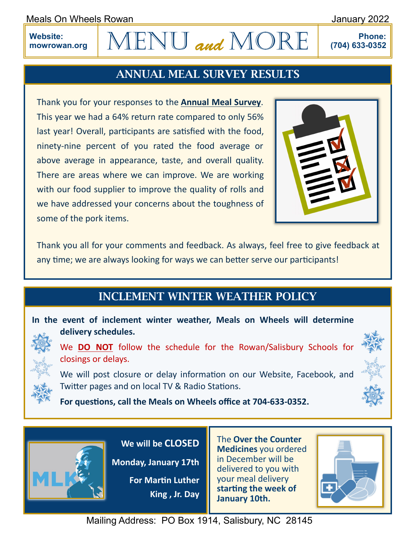Meals On Wheels Rowan **Meals Communist Communist Communist Communist Communist Communist Communist Communist Communist Communist Communist Communist Communist Communist Communist Communist Communist Communist Communist Com** 

**Website: mowrowan.org**

## $ENU$  and MORE

**Phone: (704) 633-0352**

## ANNUAL MEAL SURVEY RESULTS

Thank you for your responses to the **Annual Meal Survey**. This year we had a 64% return rate compared to only 56% last year! Overall, participants are satisfied with the food, ninety-nine percent of you rated the food average or above average in appearance, taste, and overall quality. There are areas where we can improve. We are working with our food supplier to improve the quality of rolls and we have addressed your concerns about the toughness of some of the pork items.



Thank you all for your comments and feedback. As always, feel free to give feedback at any time; we are always looking for ways we can better serve our participants!

## INCLEMENT WINTER WEATHER POLICY

**In the event of inclement winter weather, Meals on Wheels will determine delivery schedules.**

We **DO NOT** follow the schedule for the Rowan/Salisbury Schools for closings or delays.

We will post closure or delay information on our Website, Facebook, and Twitter pages and on local TV & Radio Stations.

**For questions, call the Meals on Wheels office at 704-633-0352.**



**We will be CLOSED** 

**Monday, January 17th**

**For Martin Luther King , Jr. Day**

The **Over the Counter Medicines** you ordered in December will be delivered to you with your meal delivery **starting the week of January 10th.**



Mailing Address: PO Box 1914, Salisbury, NC 28145